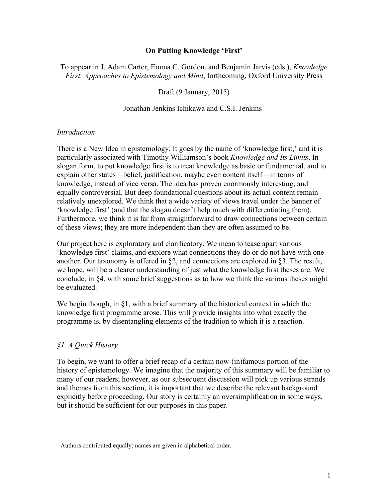#### **On Putting Knowledge 'First'**

To appear in J. Adam Carter, Emma C. Gordon, and Benjamin Jarvis (eds.), *Knowledge First: Approaches to Epistemology and Mind*, forthcoming, Oxford University Press

Draft (9 January, 2015)

#### Jonathan Jenkins Ichikawa and C.S.I. Jenkins<sup>1</sup>

#### *Introduction*

There is a New Idea in epistemology. It goes by the name of 'knowledge first,' and it is particularly associated with Timothy Williamson's book *Knowledge and Its Limits*. In slogan form, to put knowledge first is to treat knowledge as basic or fundamental, and to explain other states—belief, justification, maybe even content itself—in terms of knowledge, instead of vice versa. The idea has proven enormously interesting, and equally controversial. But deep foundational questions about its actual content remain relatively unexplored. We think that a wide variety of views travel under the banner of 'knowledge first' (and that the slogan doesn't help much with differentiating them). Furthermore, we think it is far from straightforward to draw connections between certain of these views; they are more independent than they are often assumed to be.

Our project here is exploratory and clarificatory. We mean to tease apart various 'knowledge first' claims, and explore what connections they do or do not have with one another. Our taxonomy is offered in §2, and connections are explored in §3. The result, we hope, will be a clearer understanding of just what the knowledge first theses are. We conclude, in §4, with some brief suggestions as to how we think the various theses might be evaluated.

We begin though, in §1, with a brief summary of the historical context in which the knowledge first programme arose. This will provide insights into what exactly the programme is, by disentangling elements of the tradition to which it is a reaction.

## *§1. A Quick History*

<u>.</u>

To begin, we want to offer a brief recap of a certain now-(in)famous portion of the history of epistemology. We imagine that the majority of this summary will be familiar to many of our readers; however, as our subsequent discussion will pick up various strands and themes from this section, it is important that we describe the relevant background explicitly before proceeding. Our story is certainly an oversimplification in some ways, but it should be sufficient for our purposes in this paper.

 $<sup>1</sup>$  Authors contributed equally; names are given in alphabetical order.</sup>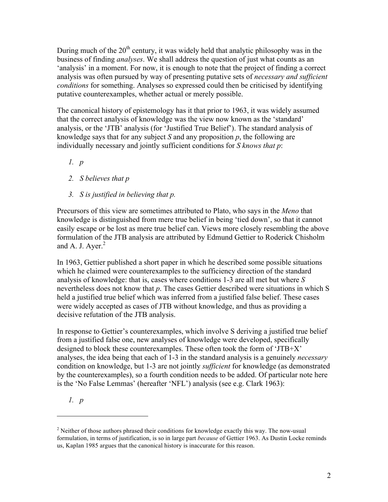During much of the  $20<sup>th</sup>$  century, it was widely held that analytic philosophy was in the business of finding *analyses*. We shall address the question of just what counts as an 'analysis' in a moment. For now, it is enough to note that the project of finding a correct analysis was often pursued by way of presenting putative sets of *necessary and sufficient conditions* for something. Analyses so expressed could then be criticised by identifying putative counterexamples, whether actual or merely possible.

The canonical history of epistemology has it that prior to 1963, it was widely assumed that the correct analysis of knowledge was the view now known as the 'standard' analysis, or the 'JTB' analysis (for 'Justified True Belief'). The standard analysis of knowledge says that for any subject *S* and any proposition *p*, the following are individually necessary and jointly sufficient conditions for *S knows that p*:

- *1. p*
- *2. S believes that p*
- *3. S is justified in believing that p.*

Precursors of this view are sometimes attributed to Plato, who says in the *Meno* that knowledge is distinguished from mere true belief in being 'tied down', so that it cannot easily escape or be lost as mere true belief can. Views more closely resembling the above formulation of the JTB analysis are attributed by Edmund Gettier to Roderick Chisholm and A. J. Ayer. $<sup>2</sup>$ </sup>

In 1963, Gettier published a short paper in which he described some possible situations which he claimed were counterexamples to the sufficiency direction of the standard analysis of knowledge: that is, cases where conditions 1-3 are all met but where *S* nevertheless does not know that *p*. The cases Gettier described were situations in which S held a justified true belief which was inferred from a justified false belief. These cases were widely accepted as cases of JTB without knowledge, and thus as providing a decisive refutation of the JTB analysis.

In response to Gettier's counterexamples, which involve S deriving a justified true belief from a justified false one, new analyses of knowledge were developed, specifically designed to block these counterexamples. These often took the form of 'JTB+X' analyses, the idea being that each of 1-3 in the standard analysis is a genuinely *necessary* condition on knowledge, but 1-3 are not jointly *sufficient* for knowledge (as demonstrated by the counterexamples), so a fourth condition needs to be added. Of particular note here is the 'No False Lemmas' (hereafter 'NFL') analysis (see e.g. Clark 1963):

*1. p*

1

 $2$ <sup>2</sup> Neither of those authors phrased their conditions for knowledge exactly this way. The now-usual formulation, in terms of justification, is so in large part *because* of Gettier 1963. As Dustin Locke reminds us, Kaplan 1985 argues that the canonical history is inaccurate for this reason.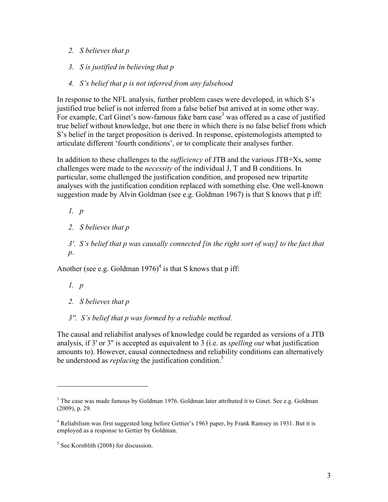- *2. S believes that p*
- *3. S is justified in believing that p*
- *4. S's belief that p is not inferred from any falsehood*

In response to the NFL analysis, further problem cases were developed, in which S's justified true belief is not inferred from a false belief but arrived at in some other way. For example, Carl Ginet's now-famous fake barn case<sup>3</sup> was offered as a case of justified true belief without knowledge, but one there in which there is no false belief from which S's belief in the target proposition is derived. In response, epistemologists attempted to articulate different 'fourth conditions', or to complicate their analyses further.

In addition to these challenges to the *sufficiency* of JTB and the various JTB+Xs, some challenges were made to the *necessity* of the individual J, T and B conditions. In particular, some challenged the justification condition, and proposed new tripartite analyses with the justification condition replaced with something else. One well-known suggestion made by Alvin Goldman (see e.g. Goldman 1967) is that S knows that p iff:

- *1. p*
- *2. S believes that p*

*3'. S's belief that p was causally connected [in the right sort of way] to the fact that p*.

Another (see e.g. Goldman  $1976$ <sup>4</sup> is that S knows that p iff:

*1. p*

<u>.</u>

- *2. S believes that p*
- *3''. S's belief that p was formed by a reliable method.*

The causal and reliabilist analyses of knowledge could be regarded as versions of a JTB analysis, if 3' or 3'' is accepted as equivalent to 3 (i.e. as *spelling out* what justification amounts to). However, causal connectedness and reliability conditions can alternatively be understood as *replacing* the justification condition.<sup>5</sup>

 $3$  The case was made famous by Goldman 1976. Goldman later attributed it to Ginet. See e.g. Goldman (2009), p. 29.

<sup>4</sup> Reliabilism was first suggested long before Gettier's 1963 paper, by Frank Ramsey in 1931. But it is employed as a response to Gettier by Goldman.

 $<sup>5</sup>$  See Kornblith (2008) for discussion.</sup>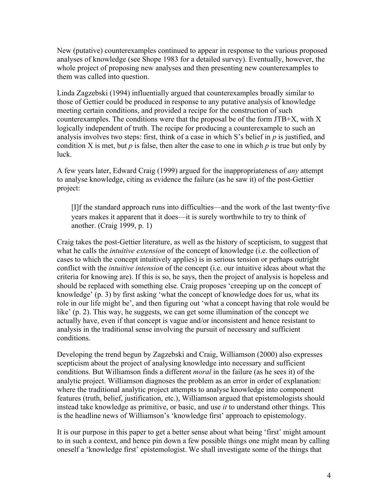New (putative) counterexamples continued to appear in response to the various proposed analyses of knowledge (see Shope 1983 for a detailed survey). Eventually, however, the whole project of proposing new analyses and then presenting new counterexamples to them was called into question.

Linda Zagzebski (1994) influentially argued that counterexamples broadly similar to those of Gettier could be produced in response to any putative analysis of knowledge meeting certain conditions, and provided a recipe for the construction of such counterexamples. The conditions were that the proposal be of the form JTB+X, with X logically independent of truth. The recipe for producing a counterexample to such an analysis involves two steps: first, think of a case in which S's belief in *p* is justified, and condition X is met, but  $p$  is false, then alter the case to one in which  $p$  is true but only by luck.

A few years later, Edward Craig (1999) argued for the inappropriateness of *any* attempt to analyse knowledge, citing as evidence the failure (as he saw it) of the post-Gettier project:

[I]f the standard approach runs into difficulties—and the work of the last twenty-five years makes it apparent that it does—it is surely worthwhile to try to think of another. (Craig 1999, p. 1)

Craig takes the post-Gettier literature, as well as the history of scepticism, to suggest that what he calls the *intuitive extension* of the concept of knowledge (i.e. the collection of cases to which the concept intuitively applies) is in serious tension or perhaps outright conflict with the *intuitive intension* of the concept (i.e. our intuitive ideas about what the criteria for knowing are). If this is so, he says, then the project of analysis is hopeless and should be replaced with something else. Craig proposes 'creeping up on the concept of knowledge' (p. 3) by first asking 'what the concept of knowledge does for us, what its role in our life might be', and then figuring out 'what a concept having that role would be like' (p. 2). This way, he suggests, we can get some illumination of the concept we actually have, even if that concept is vague and/or inconsistent and hence resistant to analysis in the traditional sense involving the pursuit of necessary and sufficient conditions.

Developing the trend begun by Zagzebski and Craig, Williamson (2000) also expresses scepticism about the project of analysing knowledge into necessary and sufficient conditions. But Williamson finds a different *moral* in the failure (as he sees it) of the analytic project. Williamson diagnoses the problem as an error in order of explanation: where the traditional analytic project attempts to analyse knowledge into component features (truth, belief, justification, etc.), Williamson argued that epistemologists should instead take knowledge as primitive, or basic, and use *it* to understand other things. This is the headline news of Williamson's 'knowledge first' approach to epistemology.

It is our purpose in this paper to get a better sense about what being 'first' might amount to in such a context, and hence pin down a few possible things one might mean by calling oneself a 'knowledge first' epistemologist. We shall investigate some of the things that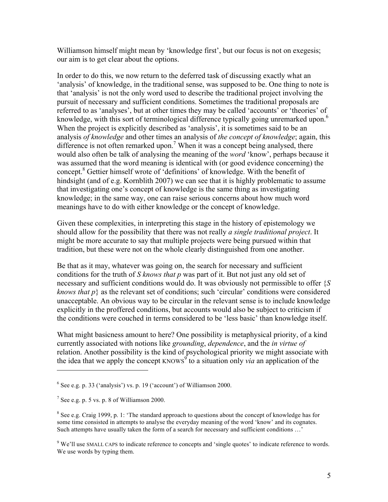Williamson himself might mean by 'knowledge first', but our focus is not on exegesis; our aim is to get clear about the options.

In order to do this, we now return to the deferred task of discussing exactly what an 'analysis' of knowledge, in the traditional sense, was supposed to be. One thing to note is that 'analysis' is not the only word used to describe the traditional project involving the pursuit of necessary and sufficient conditions. Sometimes the traditional proposals are referred to as 'analyses', but at other times they may be called 'accounts' or 'theories' of knowledge, with this sort of terminological difference typically going unremarked upon.<sup>6</sup> When the project is explicitly described as 'analysis', it is sometimes said to be an analysis *of knowledge* and other times an analysis of *the concept of knowledge*; again, this difference is not often remarked upon. <sup>7</sup> When it was a concept being analysed, there would also often be talk of analysing the meaning of the *word* 'know', perhaps because it was assumed that the word meaning is identical with (or good evidence concerning) the concept.<sup>8</sup> Gettier himself wrote of 'definitions' of knowledge. With the benefit of hindsight (and of e.g. Kornblith 2007) we can see that it is highly problematic to assume that investigating one's concept of knowledge is the same thing as investigating knowledge; in the same way, one can raise serious concerns about how much word meanings have to do with either knowledge or the concept of knowledge.

Given these complexities, in interpreting this stage in the history of epistemology we should allow for the possibility that there was not really *a single traditional project*. It might be more accurate to say that multiple projects were being pursued within that tradition, but these were not on the whole clearly distinguished from one another.

Be that as it may, whatever was going on, the search for necessary and sufficient conditions for the truth of *S knows that p* was part of it. But not just any old set of necessary and sufficient conditions would do. It was obviously not permissible to offer {*S knows that p* as the relevant set of conditions; such 'circular' conditions were considered unacceptable. An obvious way to be circular in the relevant sense is to include knowledge explicitly in the proffered conditions, but accounts would also be subject to criticism if the conditions were couched in terms considered to be 'less basic' than knowledge itself.

What might basicness amount to here? One possibility is metaphysical priority, of a kind currently associated with notions like *grounding*, *dependence*, and the *in virtue of* relation. Another possibility is the kind of psychological priority we might associate with the idea that we apply the concept KNOWS<sup>9</sup> to a situation only *via* an application of the

<u>.</u>

 $6$  See e.g. p. 33 ('analysis') vs. p. 19 ('account') of Williamson 2000.

 $7$  See e.g. p. 5 vs. p. 8 of Williamson 2000.

<sup>&</sup>lt;sup>8</sup> See e.g. Craig 1999, p. 1: 'The standard approach to questions about the concept of knowledge has for some time consisted in attempts to analyse the everyday meaning of the word 'know' and its cognates. Such attempts have usually taken the form of a search for necessary and sufficient conditions …'

 $9$  We'll use SMALL CAPS to indicate reference to concepts and 'single quotes' to indicate reference to words. We use words by typing them.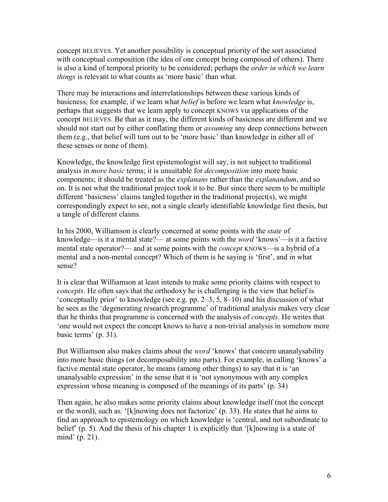concept BELIEVES. Yet another possibility is conceptual priority of the sort associated with conceptual composition (the idea of one concept being composed of others). There is also a kind of temporal priority to be considered; perhaps the *order in which we learn things* is relevant to what counts as 'more basic' than what.

There may be interactions and interrelationships between these various kinds of basicness; for example, if we learn what *belief* is before we learn what *knowledge* is, perhaps that suggests that we learn apply to concept KNOWS via applications of the concept BELIEVES. Be that as it may, the different kinds of basicness are different and we should not start out by either conflating them or *assuming* any deep connections between them (e.g., that belief will turn out to be 'more basic' than knowledge in either all of these senses or none of them).

Knowledge, the knowledge first epistemologist will say, is not subject to traditional analysis in *more basic* terms; it is unsuitable for *decomposition* into more basic components; it should be treated as the *explanans* rather than the *explanandum*, and so on. It is not what the traditional project took it to be. But since there seem to be multiple different 'basicness' claims tangled together in the traditional project(s), we might correspondingly expect to see, not a single clearly identifiable knowledge first thesis, but a tangle of different claims.

In his 2000, Williamson is clearly concerned at some points with the *state* of knowledge—is it a mental state?— at some points with the *word* 'knows'—is it a factive mental state operator?— and at some points with the *concept* KNOWS—is a hybrid of a mental and a non-mental concept? Which of them is he saying is 'first', and in what sense?

It is clear that Williamson at least intends to make some priority claims with respect to *concepts*. He often says that the orthodoxy he is challenging is the view that belief is 'conceptually prior' to knowledge (see e.g. pp. 2–3, 5, 8–10) and his discussion of what he sees as the 'degenerating research programme' of traditional analysis makes very clear that he thinks that programme is concerned with the analysis of *concepts*. He writes that 'one would not expect the concept knows to have a non-trivial analysis in somehow more basic terms' (p. 31).

But Williamson also makes claims about the *word* 'knows' that concern unanalysability into more basic things (or decomposability into parts). For example, in calling 'knows' a factive mental state operator, he means (among other things) to say that it is 'an unanalysable expression' in the sense that it is 'not synonymous with any complex expression whose meaning is composed of the meanings of its parts' (p. 34)

Then again, he also makes some priority claims about knowledge itself (not the concept or the word), such as: '[k]nowing does not factorize' (p. 33). He states that he aims to find an approach to epistemology on which knowledge is 'central, and not subordinate to belief' (p. 5). And the thesis of his chapter 1 is explicitly that '[k]nowing is a state of mind' (p. 21).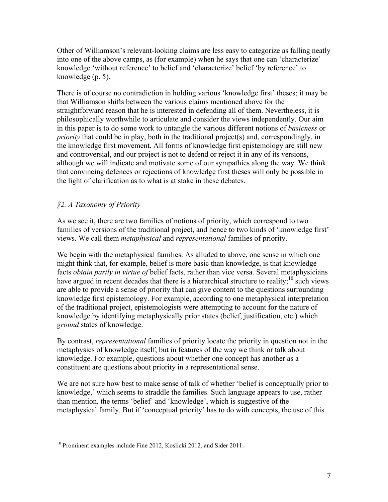Other of Williamson's relevant-looking claims are less easy to categorize as falling neatly into one of the above camps, as (for example) when he says that one can 'characterize' knowledge 'without reference' to belief and 'characterize' belief 'by reference' to knowledge (p. 5).

There is of course no contradiction in holding various 'knowledge first' theses; it may be that Williamson shifts between the various claims mentioned above for the straightforward reason that he is interested in defending all of them. Nevertheless, it is philosophically worthwhile to articulate and consider the views independently. Our aim in this paper is to do some work to untangle the various different notions of *basicness* or *priority* that could be in play, both in the traditional project(s) and, correspondingly, in the knowledge first movement. All forms of knowledge first epistemology are still new and controversial, and our project is not to defend or reject it in any of its versions, although we will indicate and motivate some of our sympathies along the way. We think that convincing defences or rejections of knowledge first theses will only be possible in the light of clarification as to what is at stake in these debates.

# *§2. A Taxonomy of Priority*

<u>.</u>

As we see it, there are two families of notions of priority, which correspond to two families of versions of the traditional project, and hence to two kinds of 'knowledge first' views. We call them *metaphysical* and *representational* families of priority.

We begin with the metaphysical families. As alluded to above, one sense in which one might think that, for example, belief is more basic than knowledge, is that knowledge facts *obtain partly in virtue of* belief facts, rather than vice versa. Several metaphysicians have argued in recent decades that there is a hierarchical structure to reality;  $10$  such views are able to provide a sense of priority that can give content to the questions surrounding knowledge first epistemology. For example, according to one metaphysical interpretation of the traditional project, epistemologists were attempting to account for the nature of knowledge by identifying metaphysically prior states (belief, justification, etc.) which *ground* states of knowledge.

By contrast, *representational* families of priority locate the priority in question not in the metaphysics of knowledge itself, but in features of the way we think or talk about knowledge. For example, questions about whether one concept has another as a constituent are questions about priority in a representational sense.

We are not sure how best to make sense of talk of whether 'belief is conceptually prior to knowledge,' which seems to straddle the families. Such language appears to use, rather than mention, the terms 'belief' and 'knowledge', which is suggestive of the metaphysical family. But if 'conceptual priority' has to do with concepts, the use of this

<sup>&</sup>lt;sup>10</sup> Prominent examples include Fine 2012, Koslicki 2012, and Sider 2011.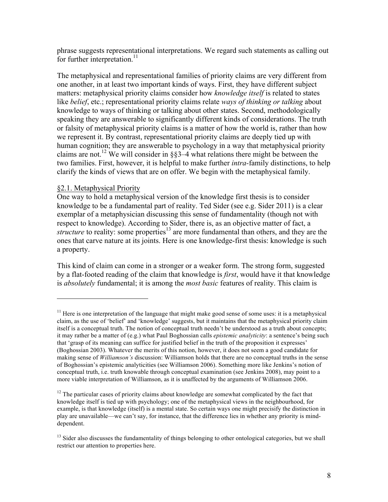phrase suggests representational interpretations. We regard such statements as calling out for further interpretation.<sup>11</sup>

The metaphysical and representational families of priority claims are very different from one another, in at least two important kinds of ways. First, they have different subject matters: metaphysical priority claims consider how *knowledge itself* is related to states like *belief*, etc.; representational priority claims relate *ways of thinking or talking* about knowledge to ways of thinking or talking about other states. Second, methodologically speaking they are answerable to significantly different kinds of considerations. The truth or falsity of metaphysical priority claims is a matter of how the world is, rather than how we represent it. By contrast, representational priority claims are deeply tied up with human cognition; they are answerable to psychology in a way that metaphysical priority claims are not.<sup>12</sup> We will consider in  $\S$ §3–4 what relations there might be between the two families. First, however, it is helpful to make further *intra-*family distinctions, to help clarify the kinds of views that are on offer. We begin with the metaphysical family.

#### §2.1. Metaphysical Priority

<u>.</u>

One way to hold a metaphysical version of the knowledge first thesis is to consider knowledge to be a fundamental part of reality. Ted Sider (see e.g. Sider 2011) is a clear exemplar of a metaphysician discussing this sense of fundamentality (though not with respect to knowledge). According to Sider, there is, as an objective matter of fact, a *structure* to reality: some properties<sup>13</sup> are more fundamental than others, and they are the ones that carve nature at its joints. Here is one knowledge-first thesis: knowledge is such a property.

This kind of claim can come in a stronger or a weaker form. The strong form, suggested by a flat-footed reading of the claim that knowledge is *first*, would have it that knowledge is *absolutely* fundamental; it is among the *most basic* features of reality. This claim is

 $11$  Here is one interpretation of the language that might make good sense of some uses: it is a metaphysical claim, as the use of 'belief' and 'knowledge' suggests, but it maintains that the metaphysical priority claim itself is a conceptual truth. The notion of conceptual truth needn't be understood as a truth about concepts; it may rather be a matter of (e.g.) what Paul Boghossian calls *epistemic analyticity*: a sentence's being such that 'grasp of its meaning can suffice for justified belief in the truth of the proposition it expresses' (Boghossian 2003). Whatever the merits of this notion, however, it does not seem a good candidate for making sense of *Williamson's* discussion: Williamson holds that there are no conceptual truths in the sense of Boghossian's epistemic analyticities (see Williamson 2006). Something more like Jenkins's notion of conceptual truth, i.e. truth knowable through conceptual examination (see Jenkins 2008), may point to a more viable interpretation of Williamson, as it is unaffected by the arguments of Williamson 2006.

 $12$  The particular cases of priority claims about knowledge are somewhat complicated by the fact that knowledge itself is tied up with psychology; one of the metaphysical views in the neighbourhood, for example, is that knowledge (itself) is a mental state. So certain ways one might precisify the distinction in play are unavailable—we can't say, for instance, that the difference lies in whether any priority is minddependent.

<sup>&</sup>lt;sup>13</sup> Sider also discusses the fundamentality of things belonging to other ontological categories, but we shall restrict our attention to properties here.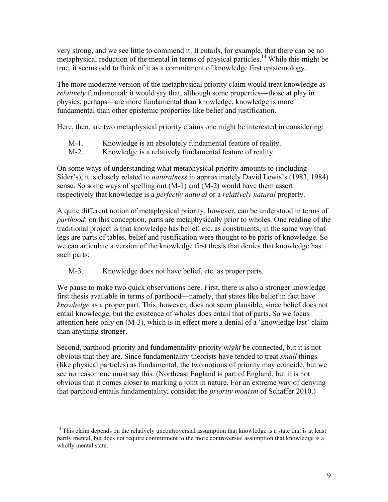very strong, and we see little to commend it. It entails, for example, that there can be no metaphysical reduction of the mental in terms of physical particles.<sup>14</sup> While this might be true, it seems odd to think of it as a commitment of knowledge first epistemology.

The more moderate version of the metaphysical priority claim would treat knowledge as *relatively* fundamental; it would say that, although some properties—those at play in physics, perhaps—are more fundamental than knowledge, knowledge is more fundamental than other epistemic properties like belief and justification.

Here, then, are two metaphysical priority claims one might be interested in considering:

- M-1. Knowledge is an absolutely fundamental feature of reality.
- M-2. Knowledge is a relatively fundamental feature of reality.

On some ways of understanding what metaphysical priority amounts to (including Sider's), it is closely related to *naturalness* in approximately David Lewis's (1983, 1984) sense. So some ways of spelling out (M-1) and (M-2) would have them assert respectively that knowledge is a *perfectly natural* or a *relatively natural* property.

A quite different notion of metaphysical priority, however, can be understood in terms of *parthood*: on this conception, parts are metaphysically prior to wholes. One reading of the traditional project is that knowledge has belief, etc. as constituents; in the same way that legs are parts of tables, belief and justification were thought to be parts of knowledge. So we can articulate a version of the knowledge first thesis that denies that knowledge has such parts:

M-3. Knowledge does not have belief, etc. as proper parts.

1

We pause to make two quick observations here. First, there is also a stronger knowledge first thesis available in terms of parthood—namely, that states like belief in fact have *knowledge* as a proper part. This, however, does not seem plausible, since belief does not entail knowledge, but the existence of wholes does entail that of parts. So we focus attention here only on (M-3), which is in effect more a denial of a 'knowledge last' claim than anything stronger.

Second, parthood-priority and fundamentality-priority *might* be connected, but it is not obvious that they are. Since fundamentality theorists have tended to treat *small* things (like physical particles) as fundamental, the two notions of priority may coincide, but we see no reason one must say this. (Northeast England is part of England, but it is not obvious that it comes closer to marking a joint in nature. For an extreme way of denying that parthood entails fundamentality, consider the *priority monism* of Schaffer 2010.)

 $14$  This claim depends on the relatively uncontroversial assumption that knowledge is a state that is at least partly mental, but does not require commitment to the more controversial assumption that knowledge is a wholly mental state.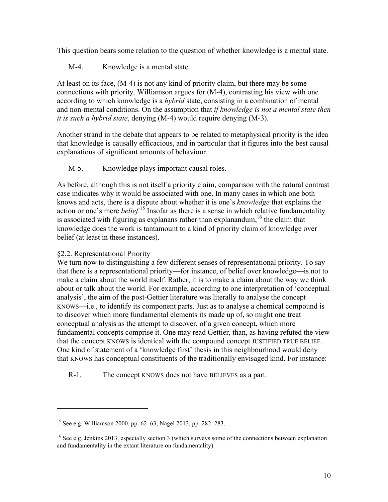This question bears some relation to the question of whether knowledge is a mental state.

M-4. Knowledge is a mental state.

At least on its face, (M-4) is not any kind of priority claim, but there may be some connections with priority. Williamson argues for (M-4), contrasting his view with one according to which knowledge is a *hybrid* state, consisting in a combination of mental and non-mental conditions. On the assumption that *if knowledge is not a mental state then it is such a hybrid state*, denying (M-4) would require denying (M-3).

Another strand in the debate that appears to be related to metaphysical priority is the idea that knowledge is causally efficacious, and in particular that it figures into the best causal explanations of significant amounts of behaviour.

M-5. Knowledge plays important causal roles.

As before, although this is not itself a priority claim, comparison with the natural contrast case indicates why it would be associated with one. In many cases in which one both knows and acts, there is a dispute about whether it is one's *knowledge* that explains the action or one's mere *belief*.<sup>15</sup> Insofar as there is a sense in which relative fundamentality is associated with figuring as explanans rather than explanandum,  $16$  the claim that knowledge does the work is tantamount to a kind of priority claim of knowledge over belief (at least in these instances).

## §2.2. Representational Priority

1

We turn now to distinguishing a few different senses of representational priority. To say that there is a representational priority—for instance, of belief over knowledge—is not to make a claim about the world itself. Rather, it is to make a claim about the way we think about or talk about the world. For example, according to one interpretation of 'conceptual analysis', the aim of the post-Gettier literature was literally to analyse the concept KNOWS—i.e., to identify its component parts. Just as to analyse a chemical compound is to discover which more fundamental elements its made up of, so might one treat conceptual analysis as the attempt to discover, of a given concept, which more fundamental concepts comprise it. One may read Gettier, than, as having refuted the view that the concept KNOWS is identical with the compound concept JUSTIFIED TRUE BELIEF. One kind of statement of a 'knowledge first' thesis in this neighbourhood would deny that KNOWS has conceptual constituents of the traditionally envisaged kind. For instance:

R-1. The concept KNOWS does not have BELIEVES as a part.

<sup>15</sup> See e.g. Williamson 2000, pp. 62–63, Nagel 2013, pp. 282–283.

<sup>&</sup>lt;sup>16</sup> See e.g. Jenkins 2013, especially section 3 (which surveys some of the connections between explanation and fundamentality in the extant literature on fundamentality).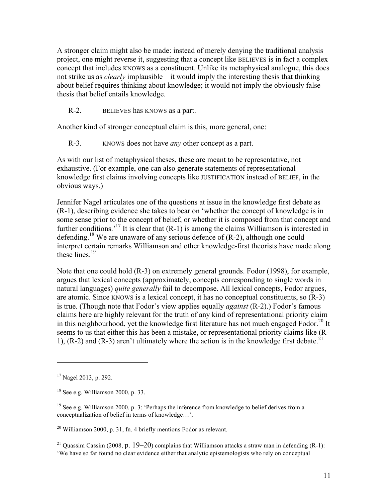A stronger claim might also be made: instead of merely denying the traditional analysis project, one might reverse it, suggesting that a concept like BELIEVES is in fact a complex concept that includes KNOWS as a constituent. Unlike its metaphysical analogue, this does not strike us as *clearly* implausible—it would imply the interesting thesis that thinking about belief requires thinking about knowledge; it would not imply the obviously false thesis that belief entails knowledge.

R-2. BELIEVES has KNOWS as a part.

Another kind of stronger conceptual claim is this, more general, one:

R-3. KNOWS does not have *any* other concept as a part.

As with our list of metaphysical theses, these are meant to be representative, not exhaustive. (For example, one can also generate statements of representational knowledge first claims involving concepts like JUSTIFICATION instead of BELIEF, in the obvious ways.)

Jennifer Nagel articulates one of the questions at issue in the knowledge first debate as (R-1), describing evidence she takes to bear on 'whether the concept of knowledge is in some sense prior to the concept of belief, or whether it is composed from that concept and further conditions.<sup>'17</sup> It is clear that  $(R-1)$  is among the claims Williamson is interested in defending.<sup>18</sup> We are unaware of any serious defence of  $(R-2)$ , although one could interpret certain remarks Williamson and other knowledge-first theorists have made along these lines. $19$ 

Note that one could hold (R-3) on extremely general grounds. Fodor (1998), for example, argues that lexical concepts (approximately, concepts corresponding to single words in natural languages) *quite generally* fail to decompose. All lexical concepts, Fodor argues, are atomic. Since KNOWS is a lexical concept, it has no conceptual constituents, so (R-3) is true. (Though note that Fodor's view applies equally *against* (R-2).) Fodor's famous claims here are highly relevant for the truth of any kind of representational priority claim in this neighbourhood, yet the knowledge first literature has not much engaged Fodor.<sup>20</sup> It seems to us that either this has been a mistake, or representational priority claims like (R-1),  $(R-2)$  and  $(R-3)$  aren't ultimately where the action is in the knowledge first debate.<sup>21</sup>

1

 $^{20}$  Williamson 2000, p. 31, fn. 4 briefly mentions Fodor as relevant.

<sup>21</sup> Quassim Cassim (2008, p. 19–20) complains that Williamson attacks a straw man in defending  $(R-1)$ : 'We have so far found no clear evidence either that analytic epistemologists who rely on conceptual

<sup>&</sup>lt;sup>17</sup> Nagel 2013, p. 292.

 $18$  See e.g. Williamson 2000, p. 33.

<sup>&</sup>lt;sup>19</sup> See e.g. Williamson 2000, p. 3: 'Perhaps the inference from knowledge to belief derives from a conceptualization of belief in terms of knowledge…',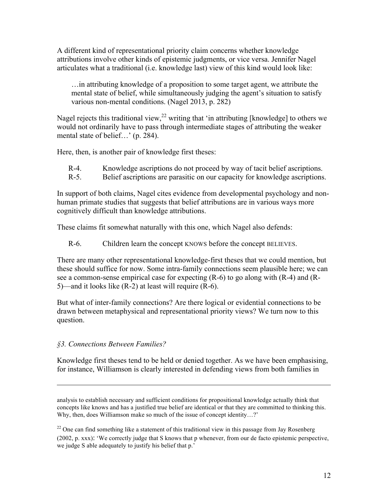A different kind of representational priority claim concerns whether knowledge attributions involve other kinds of epistemic judgments, or vice versa. Jennifer Nagel articulates what a traditional (i.e. knowledge last) view of this kind would look like:

…in attributing knowledge of a proposition to some target agent, we attribute the mental state of belief, while simultaneously judging the agent's situation to satisfy various non-mental conditions. (Nagel 2013, p. 282)

Nagel rejects this traditional view,  $^{22}$  writing that 'in attributing [knowledge] to others we would not ordinarily have to pass through intermediate stages of attributing the weaker mental state of belief…' (p. 284).

Here, then, is another pair of knowledge first theses:

- R-4. Knowledge ascriptions do not proceed by way of tacit belief ascriptions.
- R-5. Belief ascriptions are parasitic on our capacity for knowledge ascriptions.

In support of both claims, Nagel cites evidence from developmental psychology and nonhuman primate studies that suggests that belief attributions are in various ways more cognitively difficult than knowledge attributions.

These claims fit somewhat naturally with this one, which Nagel also defends:

R-6. Children learn the concept KNOWS before the concept BELIEVES.

There are many other representational knowledge-first theses that we could mention, but these should suffice for now. Some intra-family connections seem plausible here; we can see a common-sense empirical case for expecting (R-6) to go along with (R-4) and (R-5)—and it looks like (R-2) at least will require (R-6).

But what of inter-family connections? Are there logical or evidential connections to be drawn between metaphysical and representational priority views? We turn now to this question.

## *§3. Connections Between Families?*

<u>.</u>

Knowledge first theses tend to be held or denied together. As we have been emphasising, for instance, Williamson is clearly interested in defending views from both families in

analysis to establish necessary and sufficient conditions for propositional knowledge actually think that concepts like knows and has a justified true belief are identical or that they are committed to thinking this. Why, then, does Williamson make so much of the issue of concept identity...?'

 $^{22}$  One can find something like a statement of this traditional view in this passage from Jay Rosenberg (2002, p. xxx): 'We correctly judge that S knows that p whenever, from our de facto epistemic perspective, we judge S able adequately to justify his belief that p.'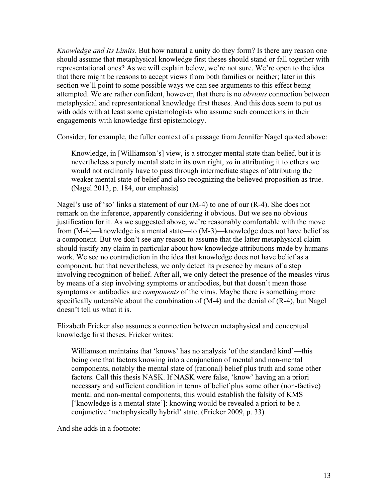*Knowledge and Its Limits*. But how natural a unity do they form? Is there any reason one should assume that metaphysical knowledge first theses should stand or fall together with representational ones? As we will explain below, we're not sure. We're open to the idea that there might be reasons to accept views from both families or neither; later in this section we'll point to some possible ways we can see arguments to this effect being attempted. We are rather confident, however, that there is no *obvious* connection between metaphysical and representational knowledge first theses. And this does seem to put us with odds with at least some epistemologists who assume such connections in their engagements with knowledge first epistemology.

Consider, for example, the fuller context of a passage from Jennifer Nagel quoted above:

Knowledge, in [Williamson's] view, is a stronger mental state than belief, but it is nevertheless a purely mental state in its own right, *so* in attributing it to others we would not ordinarily have to pass through intermediate stages of attributing the weaker mental state of belief and also recognizing the believed proposition as true. (Nagel 2013, p. 184, our emphasis)

Nagel's use of 'so' links a statement of our (M-4) to one of our (R-4). She does not remark on the inference, apparently considering it obvious. But we see no obvious justification for it. As we suggested above, we're reasonably comfortable with the move from (M-4)—knowledge is a mental state—to (M-3)—knowledge does not have belief as a component. But we don't see any reason to assume that the latter metaphysical claim should justify any claim in particular about how knowledge attributions made by humans work. We see no contradiction in the idea that knowledge does not have belief as a component, but that nevertheless, we only detect its presence by means of a step involving recognition of belief. After all, we only detect the presence of the measles virus by means of a step involving symptoms or antibodies, but that doesn't mean those symptoms or antibodies are *components* of the virus. Maybe there is something more specifically untenable about the combination of (M-4) and the denial of (R-4), but Nagel doesn't tell us what it is.

Elizabeth Fricker also assumes a connection between metaphysical and conceptual knowledge first theses. Fricker writes:

Williamson maintains that 'knows' has no analysis 'of the standard kind'—this being one that factors knowing into a conjunction of mental and non-mental components, notably the mental state of (rational) belief plus truth and some other factors. Call this thesis NASK. If NASK were false, 'know' having an a priori necessary and sufficient condition in terms of belief plus some other (non-factive) mental and non-mental components, this would establish the falsity of KMS ['knowledge is a mental state']: knowing would be revealed a priori to be a conjunctive 'metaphysically hybrid' state. (Fricker 2009, p. 33)

And she adds in a footnote: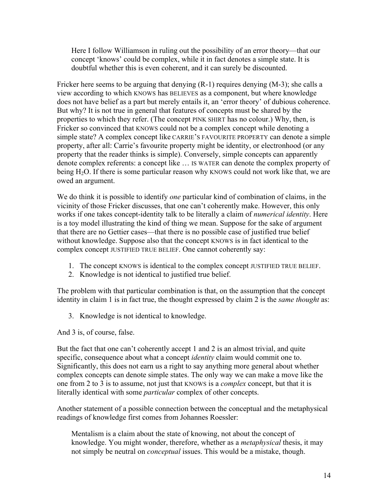Here I follow Williamson in ruling out the possibility of an error theory—that our concept 'knows' could be complex, while it in fact denotes a simple state. It is doubtful whether this is even coherent, and it can surely be discounted.

Fricker here seems to be arguing that denying (R-1) requires denying (M-3); she calls a view according to which KNOWS has BELIEVES as a component, but where knowledge does not have belief as a part but merely entails it, an 'error theory' of dubious coherence. But why? It is not true in general that features of concepts must be shared by the properties to which they refer. (The concept PINK SHIRT has no colour.) Why, then, is Fricker so convinced that KNOWS could not be a complex concept while denoting a simple state? A complex concept like CARRIE'S FAVOURITE PROPERTY can denote a simple property, after all: Carrie's favourite property might be identity, or electronhood (or any property that the reader thinks is simple). Conversely, simple concepts can apparently denote complex referents: a concept like … IS WATER can denote the complex property of being H<sub>2</sub>O. If there is some particular reason why KNOWS could not work like that, we are owed an argument.

We do think it is possible to identify *one* particular kind of combination of claims, in the vicinity of those Fricker discusses, that one can't coherently make. However, this only works if one takes concept-identity talk to be literally a claim of *numerical identity*. Here is a toy model illustrating the kind of thing we mean. Suppose for the sake of argument that there are no Gettier cases—that there is no possible case of justified true belief without knowledge. Suppose also that the concept KNOWS is in fact identical to the complex concept JUSTIFIED TRUE BELIEF. One cannot coherently say:

- 1. The concept KNOWS is identical to the complex concept JUSTIFIED TRUE BELIEF.
- 2. Knowledge is not identical to justified true belief.

The problem with that particular combination is that, on the assumption that the concept identity in claim 1 is in fact true, the thought expressed by claim 2 is the *same thought* as:

3. Knowledge is not identical to knowledge.

And 3 is, of course, false.

But the fact that one can't coherently accept 1 and 2 is an almost trivial, and quite specific, consequence about what a concept *identity* claim would commit one to. Significantly, this does not earn us a right to say anything more general about whether complex concepts can denote simple states. The only way we can make a move like the one from 2 to 3 is to assume, not just that KNOWS is a *complex* concept, but that it is literally identical with some *particular* complex of other concepts.

Another statement of a possible connection between the conceptual and the metaphysical readings of knowledge first comes from Johannes Roessler:

Mentalism is a claim about the state of knowing, not about the concept of knowledge. You might wonder, therefore, whether as a *metaphysical* thesis, it may not simply be neutral on *conceptual* issues. This would be a mistake, though.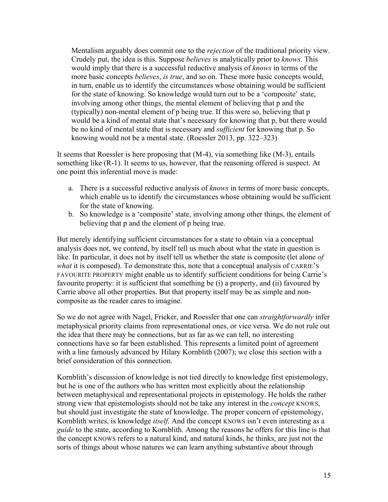Mentalism arguably does commit one to the *rejection* of the traditional priority view. Crudely put, the idea is this. Suppose *believes* is analytically prior to *knows*. This would imply that there is a successful reductive analysis of *knows* in terms of the more basic concepts *believes*, *is true*, and so on. These more basic concepts would, in turn, enable us to identify the circumstances whose obtaining would be sufficient for the state of knowing. So knowledge would turn out to be a 'composite' state, involving among other things, the mental element of believing that p and the (typically) non-mental element of p being true. If this were so, believing that p would be a kind of mental state that's necessary for knowing that p, but there would be no kind of mental state that is necessary and *sufficient* for knowing that p. So knowing would not be a mental state. (Roessler 2013, pp. 322–323)

It seems that Roessler is here proposing that (M-4), via something like (M-3), entails something like (R-1). It seems to us, however, that the reasoning offered is suspect. At one point this inferential move is made:

- a. There is a successful reductive analysis of *knows* in terms of more basic concepts, which enable us to identify the circumstances whose obtaining would be sufficient for the state of knowing.
- b. So knowledge is a 'composite' state, involving among other things, the element of believing that p and the element of p being true.

But merely identifying sufficient circumstances for a state to obtain via a conceptual analysis does not, we contend, by itself tell us much about what the state in question is like. In particular, it does not by itself tell us whether the state is composite (let alone *of what* it is composed). To demonstrate this, note that a conceptual analysis of CARRIE'S FAVOURITE PROPERTY might enable us to identify sufficient conditions for being Carrie's favourite property: it is sufficient that something be (i) a property, and (ii) favoured by Carrie above all other properties. But that property itself may be as simple and noncomposite as the reader cares to imagine.

So we do not agree with Nagel, Fricker, and Roessler that one can *straightforwardly* infer metaphysical priority claims from representational ones, or vice versa. We do not rule out the idea that there may be connections, but as far as we can tell, no interesting connections have so far been established. This represents a limited point of agreement with a line famously advanced by Hilary Kornblith (2007); we close this section with a brief consideration of this connection.

Kornblith's discussion of knowledge is not tied directly to knowledge first epistemology, but he is one of the authors who has written most explicitly about the relationship between metaphysical and representational projects in epistemology. He holds the rather strong view that epistemologists should not be take any interest in the *concept* KNOWS, but should just investigate the state of knowledge. The proper concern of epistemology, Kornblith writes, is knowledge *itself*. And the concept KNOWS isn't even interesting as a *guide* to the state, according to Kornblith. Among the reasons he offers for this line is that the concept KNOWS refers to a natural kind, and natural kinds, he thinks, are just not the sorts of things about whose natures we can learn anything substantive about through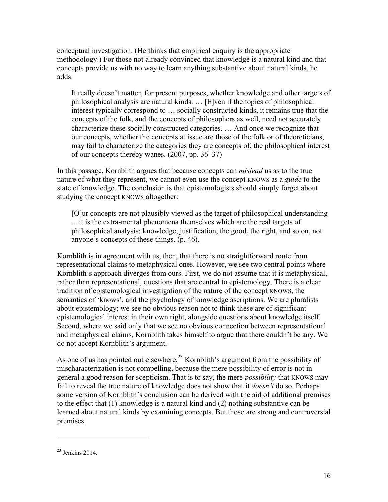conceptual investigation. (He thinks that empirical enquiry is the appropriate methodology.) For those not already convinced that knowledge is a natural kind and that concepts provide us with no way to learn anything substantive about natural kinds, he adds:

It really doesn't matter, for present purposes, whether knowledge and other targets of philosophical analysis are natural kinds. … [E]ven if the topics of philosophical interest typically correspond to … socially constructed kinds, it remains true that the concepts of the folk, and the concepts of philosophers as well, need not accurately characterize these socially constructed categories. … And once we recognize that our concepts, whether the concepts at issue are those of the folk or of theoreticians, may fail to characterize the categories they are concepts of, the philosophical interest of our concepts thereby wanes. (2007, pp. 36–37)

In this passage, Kornblith argues that because concepts can *mislead* us as to the true nature of what they represent, we cannot even use the concept KNOWS as a *guide* to the state of knowledge. The conclusion is that epistemologists should simply forget about studying the concept KNOWS altogether:

[O]ur concepts are not plausibly viewed as the target of philosophical understanding ... it is the extra-mental phenomena themselves which are the real targets of philosophical analysis: knowledge, justification, the good, the right, and so on, not anyone's concepts of these things. (p. 46).

Kornblith is in agreement with us, then, that there is no straightforward route from representational claims to metaphysical ones. However, we see two central points where Kornblith's approach diverges from ours. First, we do not assume that it is metaphysical, rather than representational, questions that are central to epistemology. There is a clear tradition of epistemological investigation of the nature of the concept KNOWS, the semantics of 'knows', and the psychology of knowledge ascriptions. We are pluralists about epistemology; we see no obvious reason not to think these are of significant epistemological interest in their own right, alongside questions about knowledge itself. Second, where we said only that we see no obvious connection between representational and metaphysical claims, Kornblith takes himself to argue that there couldn't be any. We do not accept Kornblith's argument.

As one of us has pointed out elsewhere,<sup>23</sup> Kornblith's argument from the possibility of mischaracterization is not compelling, because the mere possibility of error is not in general a good reason for scepticism. That is to say, the mere *possibility* that KNOWS may fail to reveal the true nature of knowledge does not show that it *doesn't* do so. Perhaps some version of Kornblith's conclusion can be derived with the aid of additional premises to the effect that (1) knowledge is a natural kind and (2) nothing substantive can be learned about natural kinds by examining concepts. But those are strong and controversial premises.

<u>.</u>

 $23$  Jenkins 2014.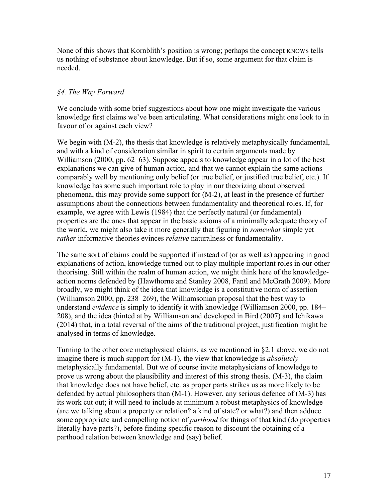None of this shows that Kornblith's position is wrong; perhaps the concept KNOWS tells us nothing of substance about knowledge. But if so, some argument for that claim is needed.

# *§4. The Way Forward*

We conclude with some brief suggestions about how one might investigate the various knowledge first claims we've been articulating. What considerations might one look to in favour of or against each view?

We begin with (M-2), the thesis that knowledge is relatively metaphysically fundamental, and with a kind of consideration similar in spirit to certain arguments made by Williamson (2000, pp. 62–63). Suppose appeals to knowledge appear in a lot of the best explanations we can give of human action, and that we cannot explain the same actions comparably well by mentioning only belief (or true belief, or justified true belief, etc.). If knowledge has some such important role to play in our theorizing about observed phenomena, this may provide some support for (M-2), at least in the presence of further assumptions about the connections between fundamentality and theoretical roles. If, for example, we agree with Lewis (1984) that the perfectly natural (or fundamental) properties are the ones that appear in the basic axioms of a minimally adequate theory of the world, we might also take it more generally that figuring in *somewhat* simple yet *rather* informative theories evinces *relative* naturalness or fundamentality.

The same sort of claims could be supported if instead of (or as well as) appearing in good explanations of action, knowledge turned out to play multiple important roles in our other theorising. Still within the realm of human action, we might think here of the knowledgeaction norms defended by (Hawthorne and Stanley 2008, Fantl and McGrath 2009). More broadly, we might think of the idea that knowledge is a constitutive norm of assertion (Williamson 2000, pp. 238–269), the Williamsonian proposal that the best way to understand *evidence* is simply to identify it with knowledge (Williamson 2000, pp. 184– 208), and the idea (hinted at by Williamson and developed in Bird (2007) and Ichikawa (2014) that, in a total reversal of the aims of the traditional project, justification might be analysed in terms of knowledge.

Turning to the other core metaphysical claims, as we mentioned in §2.1 above, we do not imagine there is much support for (M-1), the view that knowledge is *absolutely* metaphysically fundamental. But we of course invite metaphysicians of knowledge to prove us wrong about the plausibility and interest of this strong thesis. (M-3), the claim that knowledge does not have belief, etc. as proper parts strikes us as more likely to be defended by actual philosophers than (M-1). However, any serious defence of (M-3) has its work cut out; it will need to include at minimum a robust metaphysics of knowledge (are we talking about a property or relation? a kind of state? or what?) and then adduce some appropriate and compelling notion of *parthood* for things of that kind (do properties literally have parts?), before finding specific reason to discount the obtaining of a parthood relation between knowledge and (say) belief.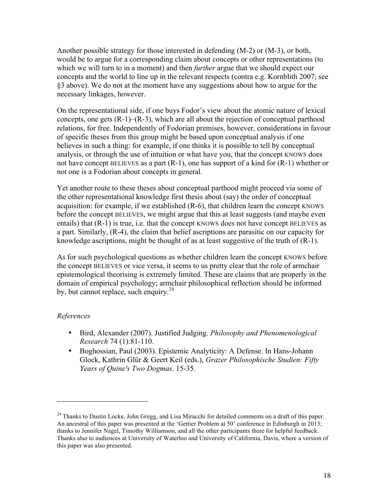Another possible strategy for those interested in defending (M-2) or (M-3), or both, would be to argue for a corresponding claim about concepts or other representations (to which we will turn to in a moment) and then *further* argue that we should expect our concepts and the world to line up in the relevant respects (contra e.g. Kornblith 2007; see §3 above). We do not at the moment have any suggestions about how to argue for the necessary linkages, however.

On the representational side, if one buys Fodor's view about the atomic nature of lexical concepts, one gets  $(R-1)$ – $(R-3)$ , which are all about the rejection of conceptual parthood relations, for free. Independently of Fodorian premises, however, considerations in favour of specific theses from this group might be based upon conceptual analysis if one believes in such a thing: for example, if one thinks it is possible to tell by conceptual analysis, or through the use of intuition or what have you, that the concept KNOWS does not have concept BELIEVES as a part (R-1), one has support of a kind for (R-1) whether or not one is a Fodorian about concepts in general.

Yet another route to these theses about conceptual parthood might proceed via some of the other representational knowledge first thesis about (say) the order of conceptual acquisition: for example, if we established (R-6), that children learn the concept KNOWS before the concept BELIEVES, we might argue that this at least suggests (and maybe even entails) that (R-1) is true, i.e. that the concept KNOWS does not have concept BELIEVES as a part. Similarly, (R-4), the claim that belief ascriptions are parasitic on our capacity for knowledge ascriptions, might be thought of as at least suggestive of the truth of (R-1).

As for such psychological questions as whether children learn the concept KNOWS before the concept BELIEVES or vice versa, it seems to us pretty clear that the role of armchair epistemological theorising is extremely limited. These are claims that are properly in the domain of empirical psychology; armchair philosophical reflection should be informed by, but cannot replace, such enquiry. $24$ 

## *References*

<u>.</u>

- Bird, Alexander (2007). Justified Judging. *Philosophy and Phenomenological Research* 74 (1):81-110.
- Boghossian, Paul (2003). Epistemic Analyticity: A Defense. In Hans-Johann Glock, Kathrin Glür & Geert Keil (eds.), *Grazer Philosophische Studien: Fifty Years of Quine's Two Dogmas*. 15-35.

 $^{24}$  Thanks to Dustin Locke, John Gregg, and Lisa Miracchi for detailed comments on a draft of this paper. An ancestral of this paper was presented at the 'Gettier Problem at 50' conference in Edinburgh in 2013; thanks to Jennifer Nagel, Timothy Williamson, and all the other participants there for helpful feedback. Thanks also to audiences at University of Waterloo and University of California, Davis, where a version of this paper was also presented.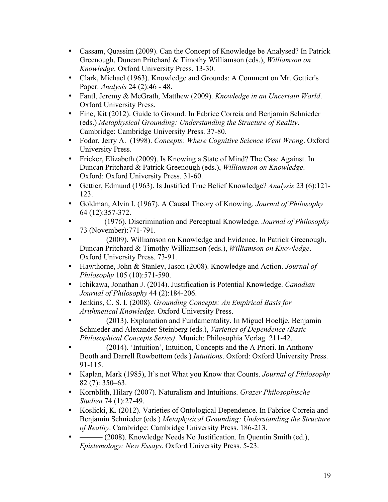- Cassam, Quassim (2009). Can the Concept of Knowledge be Analysed? In Patrick Greenough, Duncan Pritchard & Timothy Williamson (eds.), *Williamson on Knowledge*. Oxford University Press. 13-30.
- Clark, Michael (1963). Knowledge and Grounds: A Comment on Mr. Gettier's Paper. *Analysis* 24 (2):46 - 48.
- Fantl, Jeremy & McGrath, Matthew (2009). *Knowledge in an Uncertain World*. Oxford University Press.
- Fine, Kit (2012). Guide to Ground. In Fabrice Correia and Benjamin Schnieder (eds.) *Metaphysical Grounding: Understanding the Structure of Reality*. Cambridge: Cambridge University Press. 37-80.
- Fodor, Jerry A. (1998). *Concepts: Where Cognitive Science Went Wrong*. Oxford University Press.
- Fricker, Elizabeth (2009). Is Knowing a State of Mind? The Case Against. In Duncan Pritchard & Patrick Greenough (eds.), *Williamson on Knowledge*. Oxford: Oxford University Press. 31-60.
- Gettier, Edmund (1963). Is Justified True Belief Knowledge? *Analysis* 23 (6):121- 123.
- Goldman, Alvin I. (1967). A Causal Theory of Knowing. *Journal of Philosophy* 64 (12):357-372.
- ——— (1976). Discrimination and Perceptual Knowledge. *Journal of Philosophy* 73 (November):771-791.
- ——— (2009). Williamson on Knowledge and Evidence. In Patrick Greenough, Duncan Pritchard & Timothy Williamson (eds.), *Williamson on Knowledge*. Oxford University Press. 73-91.
- Hawthorne, John & Stanley, Jason (2008). Knowledge and Action. *Journal of Philosophy* 105 (10):571-590.
- Ichikawa, Jonathan J. (2014). Justification is Potential Knowledge. *Canadian Journal of Philosophy* 44 (2):184-206.
- Jenkins, C. S. I. (2008). *Grounding Concepts: An Empirical Basis for Arithmetical Knowledge*. Oxford University Press.
- ——— (2013). Explanation and Fundamentality. In Miguel Hoeltje, Benjamin Schnieder and Alexander Steinberg (eds.), *Varieties of Dependence (Basic Philosophical Concepts Series)*. Munich: Philosophia Verlag. 211-42.
- ——— (2014). 'Intuition', Intuition, Concepts and the A Priori. In Anthony Booth and Darrell Rowbottom (eds.) *Intuitions*. Oxford: Oxford University Press. 91-115.
- Kaplan, Mark (1985), It's not What you Know that Counts. *Journal of Philosophy*  82 (7): 350–63.
- Kornblith, Hilary (2007). Naturalism and Intuitions. *Grazer Philosophische Studien* 74 (1):27-49.
- Koslicki, K. (2012). Varieties of Ontological Dependence. In Fabrice Correia and Benjamin Schnieder (eds.) *Metaphysical Grounding: Understanding the Structure of Reality*. Cambridge: Cambridge University Press. 186-213.
- ——— (2008). Knowledge Needs No Justification. In Quentin Smith (ed.), *Epistemology: New Essays*. Oxford University Press. 5-23.